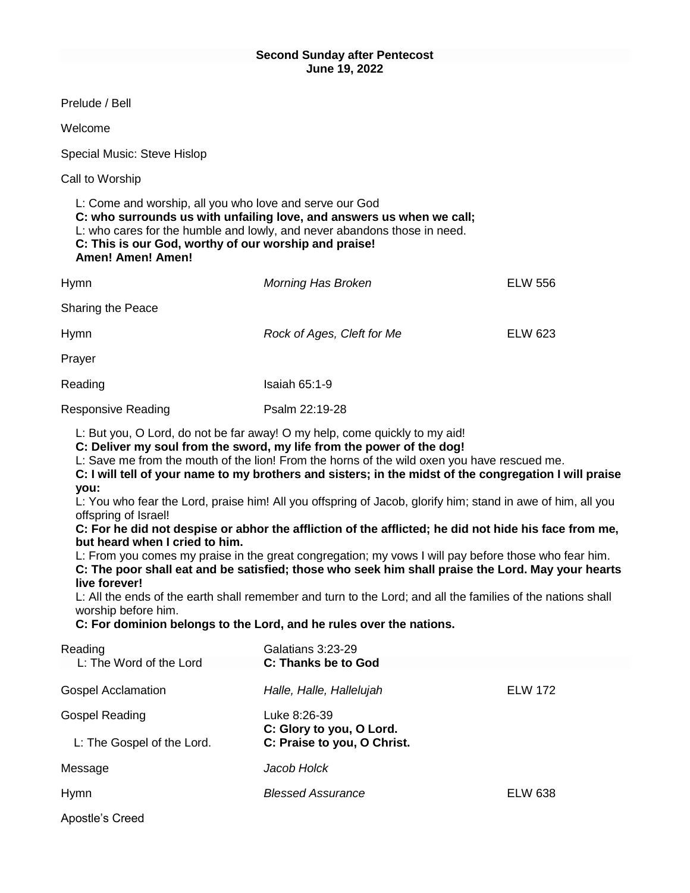| Prelude / Bell                                                                                                                                                                                                                                                                                                                                                                                                                                                                                                                                                                                                                                         |                                            |                |  |
|--------------------------------------------------------------------------------------------------------------------------------------------------------------------------------------------------------------------------------------------------------------------------------------------------------------------------------------------------------------------------------------------------------------------------------------------------------------------------------------------------------------------------------------------------------------------------------------------------------------------------------------------------------|--------------------------------------------|----------------|--|
|                                                                                                                                                                                                                                                                                                                                                                                                                                                                                                                                                                                                                                                        |                                            |                |  |
| Welcome                                                                                                                                                                                                                                                                                                                                                                                                                                                                                                                                                                                                                                                |                                            |                |  |
| Special Music: Steve Hislop                                                                                                                                                                                                                                                                                                                                                                                                                                                                                                                                                                                                                            |                                            |                |  |
| Call to Worship                                                                                                                                                                                                                                                                                                                                                                                                                                                                                                                                                                                                                                        |                                            |                |  |
| L: Come and worship, all you who love and serve our God<br>C: who surrounds us with unfailing love, and answers us when we call;<br>L: who cares for the humble and lowly, and never abandons those in need.<br>C: This is our God, worthy of our worship and praise!<br><b>Amen! Amen! Amen!</b>                                                                                                                                                                                                                                                                                                                                                      |                                            |                |  |
| Hymn                                                                                                                                                                                                                                                                                                                                                                                                                                                                                                                                                                                                                                                   | <b>Morning Has Broken</b>                  | <b>ELW 556</b> |  |
| Sharing the Peace                                                                                                                                                                                                                                                                                                                                                                                                                                                                                                                                                                                                                                      |                                            |                |  |
| <b>Hymn</b>                                                                                                                                                                                                                                                                                                                                                                                                                                                                                                                                                                                                                                            | Rock of Ages, Cleft for Me                 | <b>ELW 623</b> |  |
| Prayer                                                                                                                                                                                                                                                                                                                                                                                                                                                                                                                                                                                                                                                 |                                            |                |  |
| Reading                                                                                                                                                                                                                                                                                                                                                                                                                                                                                                                                                                                                                                                | <b>Isaiah 65:1-9</b>                       |                |  |
| <b>Responsive Reading</b>                                                                                                                                                                                                                                                                                                                                                                                                                                                                                                                                                                                                                              | Psalm 22:19-28                             |                |  |
| L: But you, O Lord, do not be far away! O my help, come quickly to my aid!<br>C: Deliver my soul from the sword, my life from the power of the dog!<br>L: Save me from the mouth of the lion! From the horns of the wild oxen you have rescued me.<br>C: I will tell of your name to my brothers and sisters; in the midst of the congregation I will praise<br>you:<br>L: You who fear the Lord, praise him! All you offspring of Jacob, glorify him; stand in awe of him, all you<br>offspring of Israel!<br>C: For he did not despise or abhor the affliction of the afflicted; he did not hide his face from me,<br>but heard when I cried to him. |                                            |                |  |
| L: From you comes my praise in the great congregation; my vows I will pay before those who fear him.<br>C: The poor shall eat and be satisfied; those who seek him shall praise the Lord. May your hearts                                                                                                                                                                                                                                                                                                                                                                                                                                              |                                            |                |  |
| live forever!<br>L: All the ends of the earth shall remember and turn to the Lord; and all the families of the nations shall<br>worship before him.                                                                                                                                                                                                                                                                                                                                                                                                                                                                                                    |                                            |                |  |
| C: For dominion belongs to the Lord, and he rules over the nations.                                                                                                                                                                                                                                                                                                                                                                                                                                                                                                                                                                                    |                                            |                |  |
| Reading<br>L: The Word of the Lord                                                                                                                                                                                                                                                                                                                                                                                                                                                                                                                                                                                                                     | Galatians 3:23-29<br>C: Thanks be to God   |                |  |
| <b>Gospel Acclamation</b>                                                                                                                                                                                                                                                                                                                                                                                                                                                                                                                                                                                                                              | Halle, Halle, Hallelujah                   | <b>ELW 172</b> |  |
| <b>Gospel Reading</b>                                                                                                                                                                                                                                                                                                                                                                                                                                                                                                                                                                                                                                  | Luke 8:26-39<br>C: Glory to you, O Lord.   |                |  |
| L: The Gospel of the Lord.                                                                                                                                                                                                                                                                                                                                                                                                                                                                                                                                                                                                                             | C: Praise to you, O Christ.<br>Jacob Holck |                |  |
| Message                                                                                                                                                                                                                                                                                                                                                                                                                                                                                                                                                                                                                                                |                                            |                |  |
| <b>Hymn</b>                                                                                                                                                                                                                                                                                                                                                                                                                                                                                                                                                                                                                                            | <b>Blessed Assurance</b>                   | <b>ELW 638</b> |  |
| Apostle's Creed                                                                                                                                                                                                                                                                                                                                                                                                                                                                                                                                                                                                                                        |                                            |                |  |